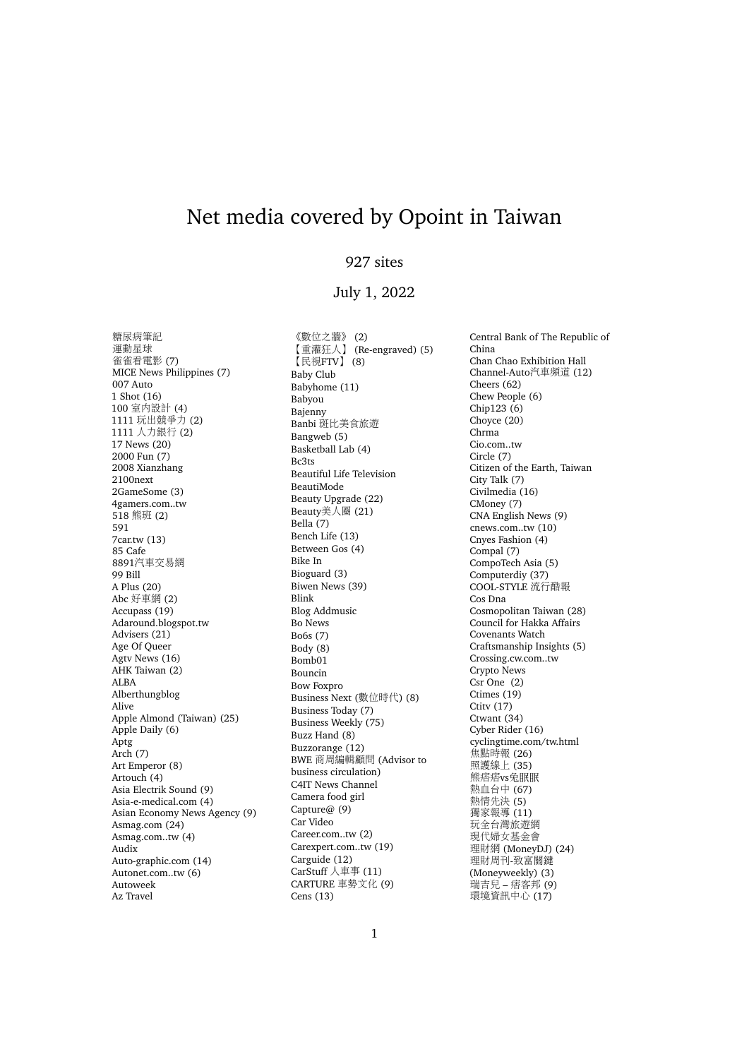## Net media covered by Opoint in Taiwan

## 927 sites

## July 1, 2022

糖尿病筆<sup>記</sup> <sup>運</sup>動星球 雀雀看電影 (7) MICE News Philippines (7) 007 Auto 1 Shot (16) 100 室內設計 (4) <sup>1111</sup> <sup>玩</sup>出競爭<sup>力</sup> (2) <sup>1111</sup> <sup>人</sup>力銀<sup>行</sup> (2) 17 News (20) 2000 Fun (7) 2008 Xianzhang 2100next 2GameSome (3) 4gamers.com..tw 518 熊班 (2) 591 7car.tw (13) 85 Cafe 8891汽車交易網 99 Bill A Plus (20) Abc 好車<sup>網</sup> (2) Accupass (19) Adaround.blogspot.tw Advisers (21) Age Of Queer Agtv News (16) AHK Taiwan (2) ALBA Alberthungblog Alive Apple Almond (Taiwan) (25) Apple Daily (6) Aptg Arch (7) Art Emperor (8) Artouch (4) Asia Electrik Sound (9) Asia-e-medical.com (4) Asian Economy News Agency (9) Asmag.com (24) Asmag.com..tw (4) Audix Auto-graphic.com (14) Autonet.com..tw (6) Autoweek Az Travel

《數位之牆》 (2) 【重灌狂人】 (Re-engraved) (5) 【民視FTV】 (8) Baby Club Babyhome (11) Babyou Bajenny Banbi <sup>斑</sup>比美食旅<sup>遊</sup> Bangweb (5) Basketball Lab (4) Bc3ts Beautiful Life Television BeautiMode Beauty Upgrade (22) Beauty美人圈 (21) Bella (7) Bench Life (13) Between Gos (4) Bike In Bioguard (3) Biwen News (39) Blink Blog Addmusic Bo News Bo6s (7) Body (8) Bomb01 Bouncin Bow Foxpro Business Next (數位時代) (8) Business Today (7) Business Weekly (75) Buzz Hand (8) Buzzorange (12) BWE 商周編輯顧問 (Advisor to business circulation) C4IT News Channel Camera food girl Capture@ (9) Car Video Career.com..tw (2) Carexpert.com..tw (19) Carguide (12) CarStuff 人車事 (11) CARTURE <sup>車</sup>勢文化 (9) Cens (13)

Central Bank of The Republic of China Chan Chao Exhibition Hall Channel-Auto汽車頻道 (12) Cheers (62) Chew People (6) Chip123 (6) Choyce (20) Chrma Cio.com..tw Circle (7) Citizen of the Earth, Taiwan City Talk (7) Civilmedia (16) CMoney (7) CNA English News (9) cnews.com..tw (10) Cnyes Fashion (4) Compal (7) CompoTech Asia (5) Computerdiy (37) COOL-STYLE 流行酷報 Cos Dna Cosmopolitan Taiwan (28) Council for Hakka Affairs Covenants Watch Craftsmanship Insights (5) Crossing.cw.com..tw Crypto News Csr One (2) Ctimes (19) Ctitv (17) Ctwant (34) Cyber Rider (16) cyclingtime.com/tw.html <sup>焦</sup>點時<sup>報</sup> (26) 照護線上 (35) 熊痞痞vs兔眠眠 <sup>熱</sup>血台<sup>中</sup> (67) 熱情先決 (5) 獨家報導 (11) <sup>玩</sup>全台灣旅遊<sup>網</sup> <sup>現</sup>代婦女基金會 理財<sup>網</sup> (MoneyDJ) (24) 理財周刊-致富關鍵 (Moneyweekly) (3) 瑞吉<sup>兒</sup> – 痞客<sup>邦</sup> (9) 環境資訊中心 (17)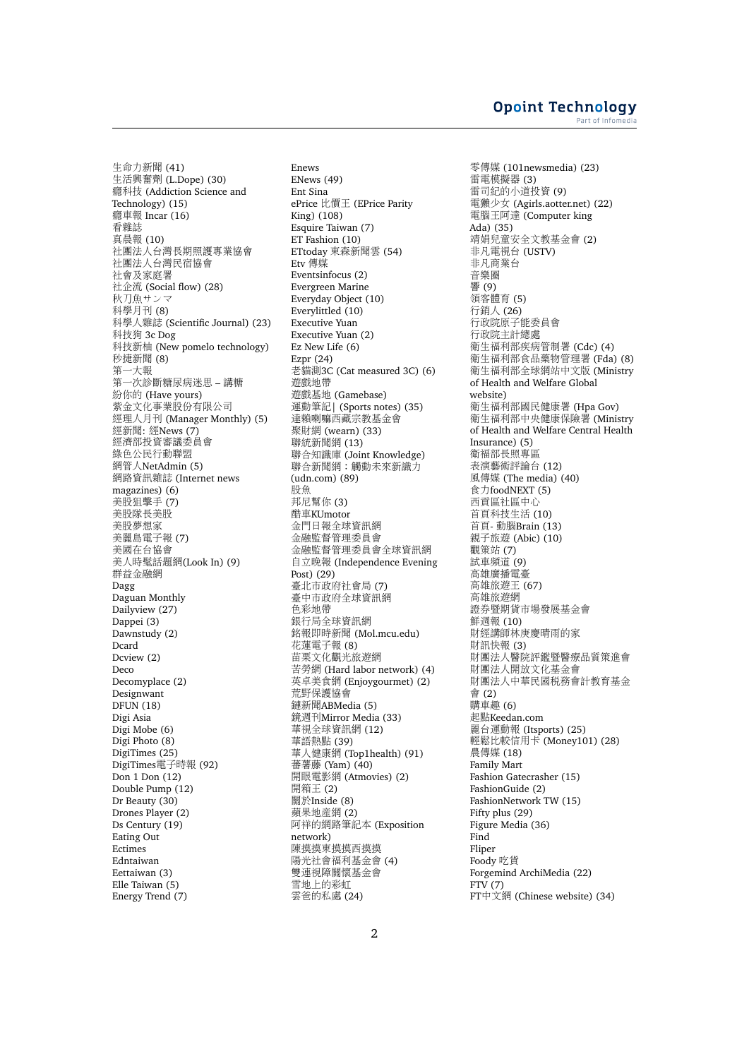生命力新聞 (41) 生活興奮<sup>劑</sup> (L.Dope) (30) 癮科技 (Addiction Science and Technology) (15) 癮車<sup>報</sup> Incar (16) 看雜誌 真晨報 (10) <sup>社</sup>團法人台灣長期照護專業協會 <sup>社</sup>團法人台灣民宿協會 <sup>社</sup>會及家庭<sup>署</sup> <sup>社</sup>企<sup>流</sup> (Social flow) (28) 秋刀魚サンマ <sup>科</sup>學月<sup>刊</sup> (8) 科學人雜誌 (Scientific Journal) (23) <sup>科</sup>技狗 3c Dog <sup>科</sup>技新柚 (New pomelo technology) –<br>秒捷新聞 (8)<br>第一大報 第一大報<br>第一次診 第一次診斷糖尿病迷思 – 講糖<br>紛你的 (Have vours) <sup>紛</sup>你的 (Have yours) <sup>紫</sup>金文化事業股份有限公司 <sup>經</sup>理人月<sup>刊</sup> (Manager Monthly) (5) <sup>經</sup>新聞: <sup>經</sup>News (7) <sup>經</sup>濟部投資審議委員會 <sup>綠</sup>色公民行動聯盟 網管人NetAdmin (5) 網路資訊雜誌 (Internet news magazines) (6) <sup>美</sup>股狙擊手 (7) <sup>美</sup>股隊長美股 <sup>美</sup>股夢想<sup>家</sup> <sup>美</sup>麗島電子<sup>報</sup> (7) <sup>美</sup>國在台協會 美人時髦話題網(Look In) (9) <sup>群</sup>益金融<sup>網</sup> Dagg Daguan Monthly Dailyview (27) Dappei (3) Dawnstudy (2) Dcard Dcview (2) Deco Decomyplace (2) Designwant DFUN (18) Digi Asia Digi Mobe (6) Digi Photo (8) DigiTimes (25) DigiTimes電子時報 (92) Don 1 Don (12) Double Pump (12) Dr Beauty (30) Drones Player (2) Ds Century (19) Eating Out Ectimes Edntaiwan Eettaiwan (3) Elle Taiwan (5) Energy Trend (7)

Enews ENews (49) Ent Sina ePrice 比價<sup>王</sup> (EPrice Parity King) (108) Esquire Taiwan (7) ET Fashion (10) ETtoday 東森新聞<sup>雲</sup> (54) Etv 傳媒 Eventsinfocus (2) Evergreen Marine Everyday Object (10) Everylittled (10) Executive Yuan Executive Yuan (2) Ez New Life (6) Ezpr (24) 老貓測3C (Cat measured 3C) (6) <sup>遊</sup>戲地<sup>帶</sup> <sup>遊</sup>戲基地 (Gamebase) 運動筆記| (Sports notes) (35) <sup>達</sup>賴喇嘛西藏宗教基金會 聚財<sup>網</sup> (wearn) (33) 聯統新聞<sup>網</sup> (13) 聯合知識<sup>庫</sup> (Joint Knowledge) 聯合新聞網:觸動未來新識<sup>力</sup> (udn.com) (89) 股魚 <sup>邦</sup>尼幫你 (3) 酷車KUmotor <sup>金</sup>門日報全球資訊<sup>網</sup> <sup>金</sup>融監督管理委員會 <sup>金</sup>融監督管理委員會全球資訊<sup>網</sup> 自立晚<sup>報</sup> (Independence Evening Post) (29) 臺北市政府社會<sup>局</sup> (7) 臺中市政府全球資訊<sup>網</sup> <sup>色</sup>彩地<sup>帶</sup> 銀行局全球資訊<sup>網</sup> 銘報即時新聞 (Mol.mcu.edu) 花蓮電子報 (8) 苗栗文化觀光旅遊網 苦勞網 (Hard labor network) (4) <sup>英</sup>卓美食<sup>網</sup> (Enjoygourmet) (2) <sup>荒</sup>野保護協會 鏈新聞ABMedia (5) 鏡週刊Mirror Media (33) <sup>華</sup>視全球資訊<sup>網</sup> (12) <sup>華</sup>語熱點 (39) 華人健康網 (Top1health) (91) 蕃薯藤 (Yam) (40) <sup>開</sup>眼電影<sup>網</sup> (Atmovies) (2) 開箱王 (2) 關於Inside (8) <sup>蘋</sup>果地產<sup>網</sup> (2) <sup>阿</sup>祥的網路筆記本 (Exposition network) <sup>陳</sup>摸摸東摸摸西摸摸 <sup>陽</sup>光社會福利基金會 (4) <sup>雙</sup>連視障關懷基金會 <sup>雪</sup>地上的彩<sup>虹</sup> <sup>雲</sup>爸的私<sup>處</sup> (24)

零傳媒 (101newsmedia) (23) 雷電模擬器 (3) <sup>雷</sup>司紀的小道投<sup>資</sup> (9) <sup>電</sup>獺少女 (Agirls.aotter.net) (22) <sup>電</sup>腦王阿<sup>達</sup> (Computer king Ada) (35) <sup>靖</sup>娟兒童安全文教基金會 (2) <sup>非</sup>凡電視台 (USTV) <sup>非</sup>凡商業台 音樂圈 響 (9) <sup>領</sup>客體育 (5) 行銷人 (26)<br>行政院原子 行政院原子能委員會<br>行政院主計總盧 行政院主計總處 <sup>衛</sup>生福利部疾病管制<sup>署</sup> (Cdc) (4) <sup>衛</sup>生福利部食品藥物管理<sup>署</sup> (Fda) (8) <sup>衛</sup>生福利部全球網站中文版 (Ministry of Health and Welfare Global website) <sup>衛</sup>生福利部國民健康<sup>署</sup> (Hpa Gov) <sup>衛</sup>生福利部中央健康保險<sup>署</sup> (Ministry of Health and Welfare Central Health Insurance) (5) <sup>衛</sup>福部長照專區 <sup>表</sup>演藝術評論台 (12) 風傳媒 (The media) (40) 食力foodNEXT (5) 西貢區社區中心 <sup>首</sup>頁科技生<sup>活</sup> (10) <sup>首</sup>頁- <sup>動</sup>腦Brain (13) 親子旅<sup>遊</sup> (Abic) (10) 觀策<sup>站</sup> (7) 試車頻道 (9) <sup>高</sup>雄廣播電臺 高雄旅遊王 (67) 高雄旅遊網 <sup>證</sup>券暨期貨市場發展基金會 鮮週報 (10) <sup>財</sup>經講師林庚慶晴雨的<sup>家</sup> <sup>財</sup>訊快<sup>報</sup> (3) <sup>財</sup>團法人醫院評鑑暨醫療品質策進會 <sup>財</sup>團法人開放文化基金會 <sup>財</sup>團法人中華民國稅務會計教育基<sup>金</sup> 會 (2) 購車趣 (6) <sup>起</sup>點Keedan.com 麗台運動<sup>報</sup> (Itsports) (25) <sup>輕</sup>鬆比較信用卡 (Money101) (28) 農傳媒 (18) Family Mart Fashion Gatecrasher (15) FashionGuide (2) FashionNetwork TW (15) Fifty plus (29) Figure Media (36) Find Fliper Foody 吃貨 Forgemind ArchiMedia (22) FTV (7) FT中文網 (Chinese website) (34)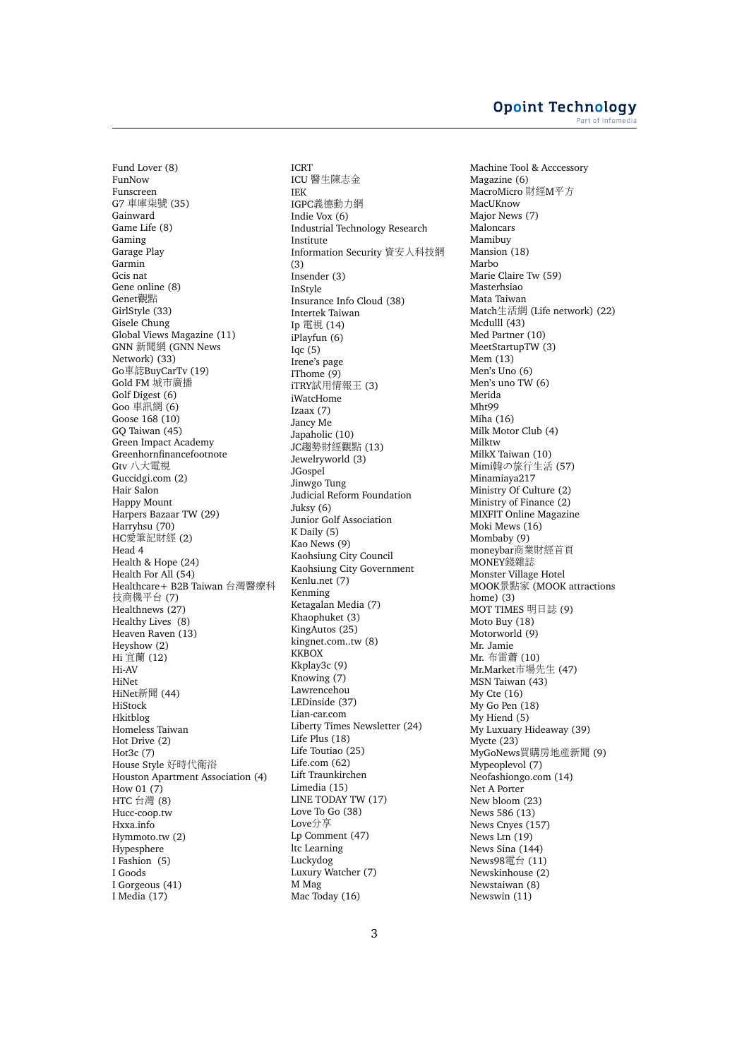## **Opoint Technology** Part of Infomed

Fund Lover (8) FunNow Funscreen G7 <sup>車</sup>庫柒<sup>號</sup> (35) Gainward Game Life (8) Gaming Garage Play Garmin Gcis nat Gene online (8) Genet觀點 GirlStyle (33) Gisele Chung Global Views Magazine (11) GNN <sup>新</sup>聞<sup>網</sup> (GNN News Network) (33) Go車誌BuyCarTv (19) Gold FM 城市廣播 Golf Digest (6) Goo 車訊網 (6) Goose 168 (10) GQ Taiwan (45) Green Impact Academy Greenhornfinancefootnote Gtv <sup>八</sup>大電視 Guccidgi.com (2) Hair Salon Happy Mount Harpers Bazaar TW (29) Harryhsu (70) HC愛筆記財經 (2) Head 4 Health & Hope (24) Health For All (54) Healthcare+ B2B Taiwan 台灣醫療<sup>科</sup> 技商機平台 (7) Healthnews (27) Healthy Lives (8) Heaven Raven (13) Heyshow (2) Hi 宜蘭 (12) Hi-AV HiNet HiNet新聞 (44) HiStock Hkitblog Homeless Taiwan Hot Drive (2) Hot3c (7) House Style 好時代衛<sup>浴</sup> Houston Apartment Association (4) How 01 (7) HTC 台<sup>灣</sup> (8) Hucc-coop.tw Hxxa.info Hymmoto.tw (2) Hypesphere I Fashion (5) I Goods I Gorgeous (41) I Media (17)

ICRT ICU <sup>醫</sup>生陳志<sup>金</sup> IEK IGPC義德動力<sup>網</sup> Indie Vox (6) Industrial Technology Research Institute Information Security <sup>資</sup>安人科技<sup>網</sup> (3) Insender (3) InStyle Insurance Info Cloud (38) Intertek Taiwan Ip <sup>電</sup>視 (14) iPlayfun (6) Iqc $(5)$ Irene's page IThome (9) iTRY試用情報<sup>王</sup> (3) iWatcHome Izaax (7) Jancy Me Japaholic (10) JC趨勢財經觀點 (13) Jewelryworld (3) JGospel Jinwgo Tung Judicial Reform Foundation Juksy (6) Junior Golf Association K Daily (5) Kao News (9) Kaohsiung City Council Kaohsiung City Government Kenlu.net (7) Kenming Ketagalan Media (7) Khaophuket (3) KingAutos (25) kingnet.com..tw (8) **KKBOX** Kkplay3c (9) Knowing (7) Lawrencehou LEDinside (37) Lian-car.com Liberty Times Newsletter (24) Life Plus (18) Life Toutiao (25) Life.com (62) Lift Traunkirchen Limedia (15) LINE TODAY TW (17) Love To Go (38) Love分享 Lp Comment (47) ltc Learning Luckydog Luxury Watcher (7) M Mag Mac Today (16)

Machine Tool & Acccessory Magazine (6) MacroMicro 財經M平方 MacUKnow Major News (7) Maloncars Mamibuy Mansion (18) Marbo Marie Claire Tw (59) Masterhsiao Mata Taiwan Match生活<sup>網</sup> (Life network) (22) Mcdulll (43) Med Partner (10) MeetStartupTW (3) Mem (13) Men's Uno (6) Men's uno TW (6) Merida Mht99 Miha (16) Milk Motor Club (4) Milktw MilkX Taiwan (10) Mimi韓の旅行生活 (57) Minamiaya217 Ministry Of Culture (2) Ministry of Finance (2) MIXFIT Online Magazine Moki Mews (16) Mombaby (9) moneybar商業財經首頁<br>MONEY錢雜誌 MONEY錢雜<sup>誌</sup> Monster Village Hotel MOOK景點<sup>家</sup> (MOOK attractions home) (3) MOT TIMES 明日誌 (9) Moto Buy (18) Motorworld (9) Mr. Jamie Mr. 布雷蕭 (10) Mr.Market市場先生 (47) MSN Taiwan (43) My Cte (16) My Go Pen (18) My Hiend (5) My Luxuary Hideaway (39) Mycte (23) MyGoNews買購房地產新聞 (9) Mypeoplevol (7) Neofashiongo.com (14) Net A Porter New bloom (23) News 586 (13) News Cnyes (157) News Ltn (19) News Sina (144) News98電台 (11) Newskinhouse (2) Newstaiwan (8) Newswin (11)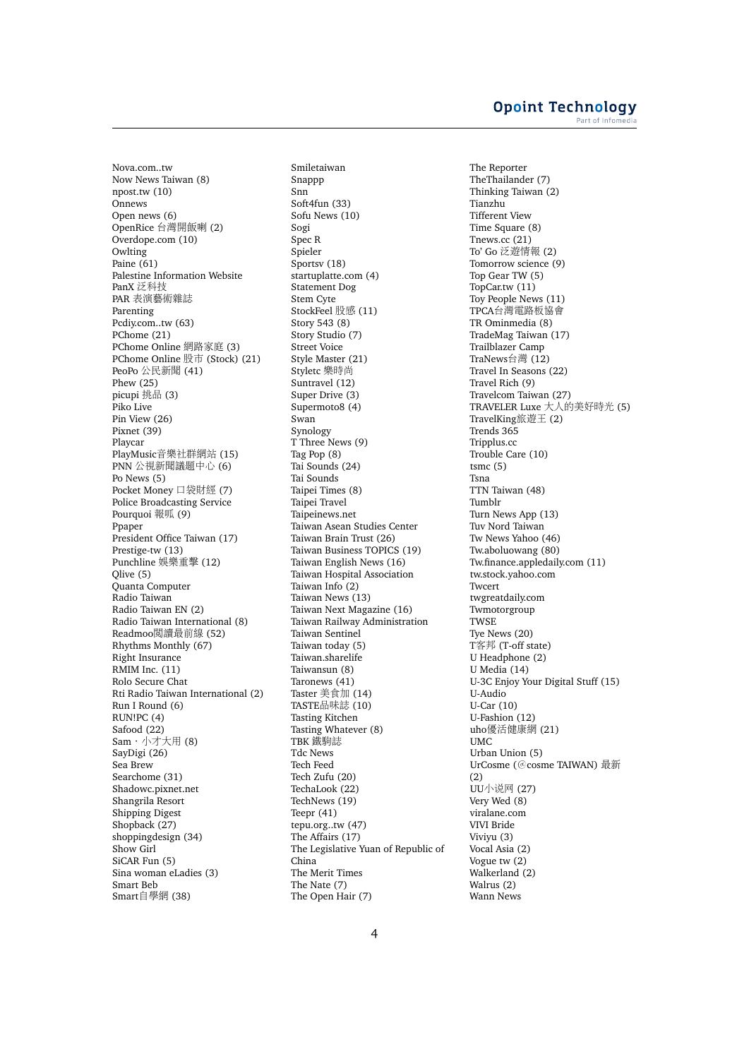Nova.com..tw Now News Taiwan (8) npost.tw (10) Onnews Open news (6) OpenRice 台灣開飯<sup>喇</sup> (2) Overdope.com (10) Owlting Paine (61) Palestine Information Website **PanX 泛科技** PAR 表演藝術雜誌 Parenting Pcdiy.com..tw (63) PChome (21) PChome Online 網路家庭 (3) PChome Online 股<sup>市</sup> (Stock) (21) PeoPo <sup>公</sup>民新聞 (41) Phew (25) picupi 挑品 (3) Piko Live Pin View (26) Pixnet (39) Playcar PlayMusic音樂社群網站 (15) PNN <sup>公</sup>視新聞議題中心 (6) Po News (5) Pocket Money 口袋財<sup>經</sup> (7) Police Broadcasting Service Pourquoi 報呱 (9) Ppaper President Office Taiwan (17) Prestige-tw (13) Punchline 娛樂重擊 (12) Qlive (5) Quanta Computer Radio Taiwan Radio Taiwan EN (2) Radio Taiwan International (8) Readmoo閱讀最前<sup>線</sup> (52) Rhythms Monthly (67) Right Insurance RMIM Inc. (11) Rolo Secure Chat Rti Radio Taiwan International (2) Run I Round (6) RUN!PC (4) Safood (22)  $Sam·$ 小才大用 (8) SayDigi (26) Sea Brew Searchome (31) Shadowc.pixnet.net Shangrila Resort Shipping Digest Shopback (27) shoppingdesign (34) Show Girl SiCAR Fun (5) Sina woman eLadies (3) Smart Beb Smart自學<sup>網</sup> (38)

Smiletaiwan Snappp Snn Soft4fun (33) Sofu News (10) Sogi Spec R Spieler Sportsv (18) startuplatte.com (4) Statement Dog Stem Cyte StockFeel 股<sup>感</sup> (11) Story 543 (8) Story Studio (7) Street Voice Style Master (21) Styletc 樂時尚 Suntravel (12) Super Drive (3) Supermoto8 (4) Swan Synology T Three News (9) Tag Pop (8) Tai Sounds (24) Tai Sounds Taipei Times (8) Taipei Travel Taipeinews.net Taiwan Asean Studies Center Taiwan Brain Trust (26) Taiwan Business TOPICS (19) Taiwan English News (16) Taiwan Hospital Association Taiwan Info (2) Taiwan News (13) Taiwan Next Magazine (16) Taiwan Railway Administration Taiwan Sentinel Taiwan today (5) Taiwan.sharelife Taiwansun (8) Taronews (41) Taster 美食加 (14) TASTE品味誌 (10) Tasting Kitchen Tasting Whatever (8) TBK 鐵駒誌 Tdc News Tech Feed Tech Zufu (20) TechaLook (22) TechNews (19) Teepr (41) tepu.org..tw (47) The Affairs (17) The Legislative Yuan of Republic of China The Merit Times The Nate (7) The Open Hair (7)

The Reporter TheThailander (7) Thinking Taiwan (2) Tianzhu Tifferent View Time Square (8) Tnews.cc (21) To' Go 泛遊情報 (2) Tomorrow science (9) Top Gear TW (5) TopCar.tw (11) Toy People News (11) TPCA台灣電路板協會 TR Ominmedia (8) TradeMag Taiwan (17) Trailblazer Camp TraNews台<sup>灣</sup> (12) Travel In Seasons (22) Travel Rich (9) Travelcom Taiwan (27) TRAVELER Luxe 大人的美好時<sup>光</sup> (5) TravelKing旅遊王 (2) Trends 365 Tripplus.cc Trouble Care (10) tsmc (5) Tsna TTN Taiwan (48) Tumblr Turn News App (13) Tuv Nord Taiwan Tw News Yahoo (46) Tw.aboluowang (80) Tw.finance.appledaily.com (11) tw.stock.yahoo.com Twcert twgreatdaily.com Twmotorgroup TWSE Tye News (20) T客邦 (T-off state) U Headphone (2) U Media (14) U-3C Enjoy Your Digital Stuff (15) U-Audio U-Car (10) U-Fashion (12) uho優活健康網 (21) UMC Urban Union (5) UrCosme (@cosme TAIWAN) 最<sup>新</sup> (2) UU小说<sup>网</sup> (27) Very Wed (8) viralane.com VIVI Bride Viviyu (3) Vocal Asia (2) Vogue tw (2) Walkerland (2) Walrus (2) Wann News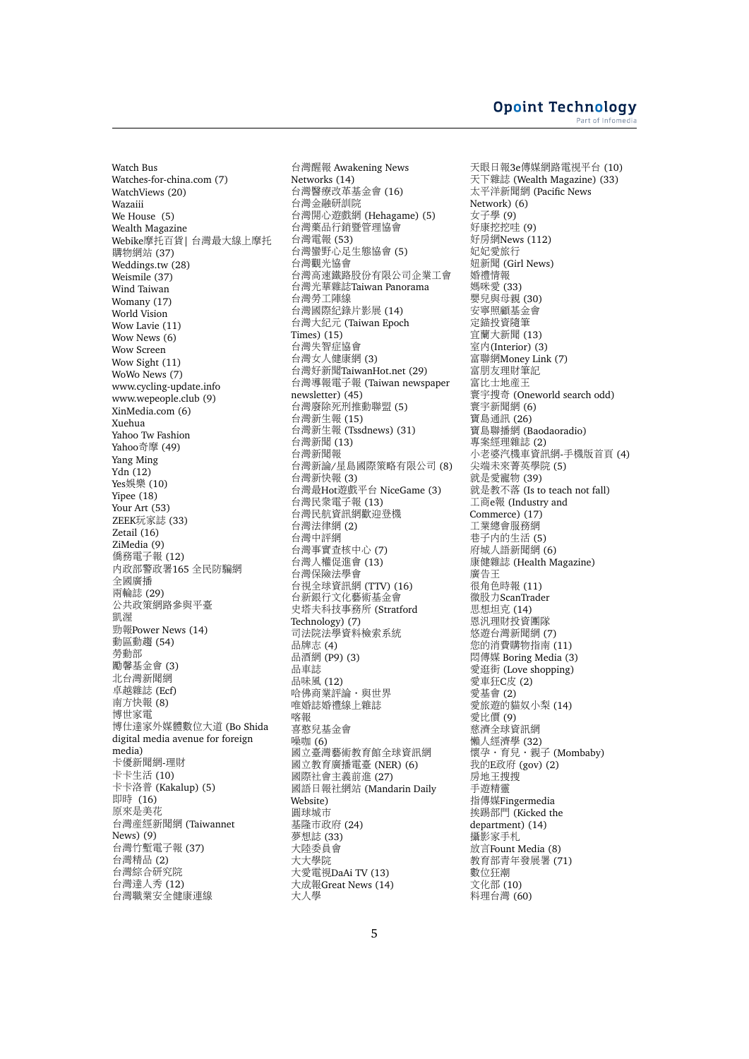Watch Bus Watches-for-china.com (7) WatchViews (20) Wazaiii We House (5) Wealth Magazine Webike摩托百貨<sup>|</sup> 台灣最大線上摩托 <sup>購</sup>物網<sup>站</sup> (37) Weddings.tw (28) Weismile (37) Wind Taiwan Womany (17) World Vision Wow Lavie (11) Wow News (6) Wow Screen Wow Sight (11) WoWo News (7) www.cycling-update.info www.wepeople.club (9) XinMedia.com (6) Xuehua Yahoo Tw Fashion Yahoo奇<sup>摩</sup> (49) Yang Ming Ydn (12) Yes娛樂 (10) Yipee (18) Your Art (53) ZEEK玩家誌 (33) Zetail (16) ZiMedia (9) 僑務電子報 (12) 內政部警政署165 全民防騙網 全國廣播 兩輪誌 (29) 公共政策網路參與平臺 凱渥 勁報Power News (14) <sup>動</sup>區動<sup>趨</sup> (54) 勞動部 <sup>勵</sup>馨基金會 (3) 北台灣新聞<sup>網</sup> 卓越雜<sup>誌</sup> (Ecf) 南方快報 (8)<br>博世家電 博世家電<br>博仕達家 博仕達家外媒體數位大道 (Bo Shida<br>digital media avenue for foreign digital media avenue for foreign media) 卡優新聞網-理<sup>財</sup> 卡卡生<sup>活</sup> (10) 卡卡洛<sup>普</sup> (Kakalup) (5) 即<sup>時</sup> (16) 原來是美<sup>花</sup> 台灣產經新聞<sup>網</sup> (Taiwannet News) (9) 台灣竹塹電子<sup>報</sup> (37) 台灣精<sup>品</sup> (2) 台灣綜合研究<sup>院</sup> 台灣達人<sup>秀</sup> (12) 台灣職業安全健康連<sup>線</sup>

台灣醒<sup>報</sup> Awakening News Networks (14) 台灣醫療改革基金會 (16) 台灣金融研訓<sup>院</sup> 台灣開心遊戲<sup>網</sup> (Hehagame) (5) 台灣藥品行銷暨管理協會 台灣電<sup>報</sup> (53) 台灣蠻野心足生態協會 (5) 台灣觀光協會 台灣高速鐵路股份有限公司企業工會 台灣光華雜誌Taiwan Panorama 台灣勞工陣<sup>線</sup> 台灣國際紀錄片影<sup>展</sup> (14) 台灣大紀<sup>元</sup> (Taiwan Epoch Times) (15) 台灣失智症協會 台灣女人健康<sup>網</sup> (3) 台灣好新聞TaiwanHot.net (29) 台灣導報電子<sup>報</sup> (Taiwan newspaper newsletter) (45) 台灣廢除死刑推動聯盟 (5) 台灣新生<sup>報</sup> (15) 台灣新生<sup>報</sup> (Tssdnews) (31) 台灣新聞 (13) 台灣新聞<sup>報</sup> 台灣新論/星島國際策略有限公司 (8) 台灣新快<sup>報</sup> (3) 台灣最Hot遊戲平台 NiceGame (3) 台灣民眾電子<sup>報</sup> (13) 台灣民航資訊網歡迎登<sup>機</sup> 台灣法律<sup>網</sup> (2) 台灣中評<sup>網</sup> 台灣事實查核中心 (7) 台灣人權促進會 (13) 台灣保險法學會 台視全球資訊<sup>網</sup> (TTV) (16) 台新銀行文化藝術基金會 史塔夫科技事務所 (Stratford Technology) (7) 司法院法學資料檢索系<sup>統</sup> <sup>品</sup>牌志 (4) 品酒網 (P9) (3) 品車誌 品味風 (12) 哈佛商業評論·與世界 唯婚誌婚禮線上雜誌 喀報 <sup>喜</sup>憨兒基金會 噪咖 (6) <sup>國</sup>立臺灣藝術教育館全球資訊<sup>網</sup> <sup>國</sup>立教育廣播電臺 (NER) (6) <sup>國</sup>際社會主義前<sup>進</sup> (27) 國語日報社網站 (Mandarin Daily Website) <sup>圓</sup>球城<sup>市</sup> 基隆市政府 (24) 夢想<sup>誌</sup> (33) 大陸委員會 大大學<sup>院</sup> 大愛電視DaAi TV (13) 大成報Great News (14) 大人<sup>學</sup>

天眼日報3e傳媒網路電視平台 (10) 天下雜<sup>誌</sup> (Wealth Magazine) (33) 太平洋新聞<sup>網</sup> (Pacific News Network)  $(6)$ <br>女子學  $(9)$ 女子學 (9)<br>好康*粹粹*明 好康挖挖哇 (9)<br>好屋網News (1 好房網News (112) 妃妃愛旅<sup>行</sup> 妞新聞 (Girl News) 婚禮情報 …………<br>媽咪愛 (33) <sup>嬰</sup>兒與母親 (30) 安寧照顧基金會 <sup>定</sup>錨投資隨<sup>筆</sup> <sup>宜</sup>蘭大新聞 (13) 室內(Interior) (3) <sup>富</sup>聯網Money Link (7) <sup>富</sup>朋友理財筆<sup>記</sup> <sup>富</sup>比士地產<sup>王</sup> 寰宇搜奇 (Oneworld search odd) 寰宇新聞<sup>網</sup> (6) 寶島通訊 (26) <sup>寶</sup>島聯播<sup>網</sup> (Baodaoradio) <sup>專</sup>案經理雜<sup>誌</sup> (2) <sup>小</sup>老婆汽機車資訊網-手機版首<sup>頁</sup> (4) <sup>尖</sup>端未來菁英學<sup>院</sup> (5) <sup>就</sup>是愛寵物 (39) 就是教不落 (Is to teach not fall) 工商e報 (Industry and Commerce) (17) <sup>工</sup>業總會服務<sup>網</sup> ————————————————————<br>巷子内的生活 (5) <sup>府</sup>城人語新聞<sup>網</sup> (6) 康健雜誌 (Health Magazine) 廣告王 很角色時<sup>報</sup> (11) 微股力ScanTrader 思想坦克 (14) <sup>恩</sup>汎理財投資團<sup>隊</sup> <sup>悠</sup>遊台灣新聞<sup>網</sup> (7) <sup>您</sup>的消費購物指南 (11) 悶傳媒 Boring Media (3) 愛逛街 (Love shopping) <sup>愛</sup>車狂C皮 (2) <sup>愛</sup>基會 (2) <sup>愛</sup>旅遊的貓奴小梨 (14) <sup>愛</sup>比<sup>價</sup> (9) <sup>慈</sup>濟全球資訊<sup>網</sup> 懶人經濟學 (32) <sup>懷</sup>孕‧育兒‧親<sup>子</sup> (Mombaby) 我的E政<sup>府</sup> (gov) (2) 房地王搜搜 手遊精<sup>靈</sup> 指傳媒Fingermedia 挨踢部門 (Kicked the department) (14) <sup>攝</sup>影家手札 放言Fount Media (8) <sup>教</sup>育部青年發展<sup>署</sup> (71) <sup>數</sup>位狂<sup>潮</sup> <sup>文</sup>化<sup>部</sup> (10) <sup>料</sup>理台<sup>灣</sup> (60)